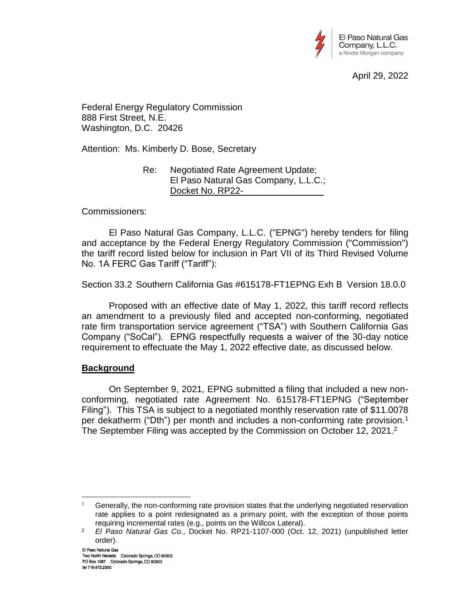

April 29, 2022

Federal Energy Regulatory Commission 888 First Street, N.E. Washington, D.C. 20426

Attention: Ms. Kimberly D. Bose, Secretary

Re: Negotiated Rate Agreement Update; El Paso Natural Gas Company, L.L.C.; Docket No. RP22-

Commissioners:

El Paso Natural Gas Company, L.L.C. ("EPNG") hereby tenders for filing and acceptance by the Federal Energy Regulatory Commission ("Commission") the tariff record listed below for inclusion in Part VII of its Third Revised Volume No. 1A FERC Gas Tariff ("Tariff"):

Section 33.2 Southern California Gas #615178-FT1EPNG Exh B Version 18.0.0

Proposed with an effective date of May 1, 2022, this tariff record reflects an amendment to a previously filed and accepted non-conforming, negotiated rate firm transportation service agreement ("TSA") with Southern California Gas Company ("SoCal"). EPNG respectfully requests a waiver of the 30-day notice requirement to effectuate the May 1, 2022 effective date, as discussed below.

# **Background**

On September 9, 2021, EPNG submitted a filing that included a new nonconforming, negotiated rate Agreement No. 615178-FT1EPNG ("September Filing"). This TSA is subject to a negotiated monthly reservation rate of \$11.0078 per dekatherm ("Dth") per month and includes a non-conforming rate provision.<sup>1</sup> The September Filing was accepted by the Commission on October 12, 2021.<sup>2</sup>

 $\overline{a}$ <sup>1</sup> Generally, the non-conforming rate provision states that the underlying negotiated reservation rate applies to a point redesignated as a primary point, with the exception of those points requiring incremental rates (e.g., points on the Willcox Lateral).

<sup>2</sup> *El Paso Natural Gas Co.*, Docket No. RP21-1107-000 (Oct. 12, 2021) (unpublished letter order).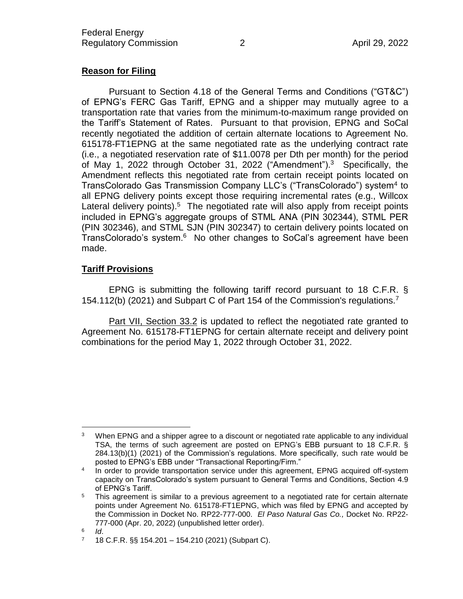# **Reason for Filing**

Pursuant to Section 4.18 of the General Terms and Conditions ("GT&C") of EPNG's FERC Gas Tariff, EPNG and a shipper may mutually agree to a transportation rate that varies from the minimum-to-maximum range provided on the Tariff's Statement of Rates. Pursuant to that provision, EPNG and SoCal recently negotiated the addition of certain alternate locations to Agreement No. 615178-FT1EPNG at the same negotiated rate as the underlying contract rate (i.e., a negotiated reservation rate of \$11.0078 per Dth per month) for the period of May 1, 2022 through October 31, 2022 ("Amendment").<sup>3</sup> Specifically, the Amendment reflects this negotiated rate from certain receipt points located on TransColorado Gas Transmission Company LLC's ("TransColorado") system<sup>4</sup> to all EPNG delivery points except those requiring incremental rates (e.g., Willcox Lateral delivery points). $5$  The negotiated rate will also apply from receipt points included in EPNG's aggregate groups of STML ANA (PIN 302344), STML PER (PIN 302346), and STML SJN (PIN 302347) to certain delivery points located on TransColorado's system.<sup>6</sup> No other changes to SoCal's agreement have been made.

## **Tariff Provisions**

EPNG is submitting the following tariff record pursuant to 18 C.F.R. § 154.112(b) (2021) and Subpart C of Part 154 of the Commission's regulations.<sup>7</sup>

Part VII, Section 33.2 is updated to reflect the negotiated rate granted to Agreement No. 615178-FT1EPNG for certain alternate receipt and delivery point combinations for the period May 1, 2022 through October 31, 2022.

 $\overline{a}$ <sup>3</sup> When EPNG and a shipper agree to a discount or negotiated rate applicable to any individual TSA, the terms of such agreement are posted on EPNG's EBB pursuant to 18 C.F.R. § 284.13(b)(1) (2021) of the Commission's regulations. More specifically, such rate would be posted to EPNG's EBB under "Transactional Reporting/Firm."

<sup>4</sup> In order to provide transportation service under this agreement, EPNG acquired off-system capacity on TransColorado's system pursuant to General Terms and Conditions, Section 4.9 of EPNG's Tariff.

<sup>&</sup>lt;sup>5</sup> This agreement is similar to a previous agreement to a negotiated rate for certain alternate points under Agreement No. 615178-FT1EPNG, which was filed by EPNG and accepted by the Commission in Docket No. RP22-777-000. *El Paso Natural Gas Co.,* Docket No. RP22- 777-000 (Apr. 20, 2022) (unpublished letter order).

<sup>6</sup> *Id*.

<sup>7 18</sup> C.F.R.  $\S$  154.201 – 154.210 (2021) (Subpart C).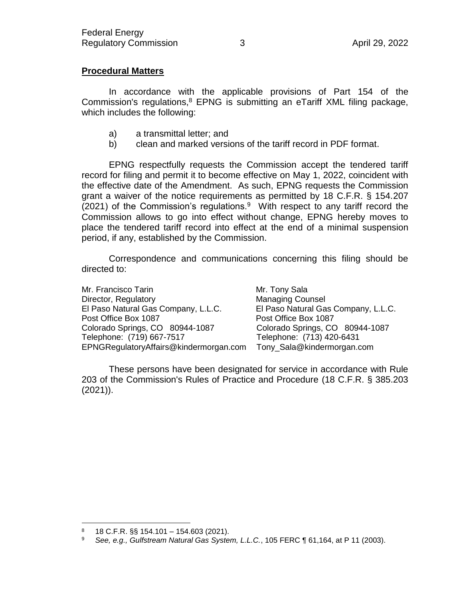# **Procedural Matters**

In accordance with the applicable provisions of Part 154 of the Commission's regulations, $8$  EPNG is submitting an eTariff XML filing package, which includes the following:

- a) a transmittal letter; and
- b) clean and marked versions of the tariff record in PDF format.

EPNG respectfully requests the Commission accept the tendered tariff record for filing and permit it to become effective on May 1, 2022, coincident with the effective date of the Amendment. As such, EPNG requests the Commission grant a waiver of the notice requirements as permitted by 18 C.F.R. § 154.207 (2021) of the Commission's regulations. $9$  With respect to any tariff record the Commission allows to go into effect without change, EPNG hereby moves to place the tendered tariff record into effect at the end of a minimal suspension period, if any, established by the Commission.

Correspondence and communications concerning this filing should be directed to:

Mr. Francisco Tarin Mr. Tony Sala Director, Regulatory Managing Counsel El Paso Natural Gas Company, L.L.C. Post Office Box 1087 Post Office Box 1087 Colorado Springs, CO 80944-1087 Colorado Springs, CO 80944-1087 Telephone: (719) 667-7517 Telephone: (713) 420-6431 EPNGRegulatoryAffairs@kindermorgan.com Tony\_Sala@kindermorgan.com

These persons have been designated for service in accordance with Rule 203 of the Commission's Rules of Practice and Procedure (18 C.F.R. § 385.203 (2021)).

 $\overline{a}$ 

<sup>8 18</sup> C.F.R. §§ 154.101 - 154.603 (2021).

<sup>9</sup> *See, e.g., Gulfstream Natural Gas System, L.L.C.*, 105 FERC ¶ 61,164, at P 11 (2003).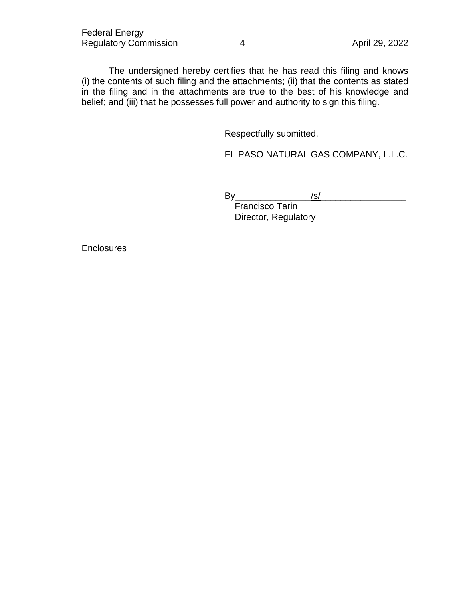The undersigned hereby certifies that he has read this filing and knows (i) the contents of such filing and the attachments; (ii) that the contents as stated in the filing and in the attachments are true to the best of his knowledge and belief; and (iii) that he possesses full power and authority to sign this filing.

Respectfully submitted,

EL PASO NATURAL GAS COMPANY, L.L.C.

By\_\_\_\_\_\_\_\_\_\_\_\_\_\_\_/s/\_\_\_\_\_\_\_\_\_\_\_\_\_\_\_\_\_

Francisco Tarin Director, Regulatory

**Enclosures**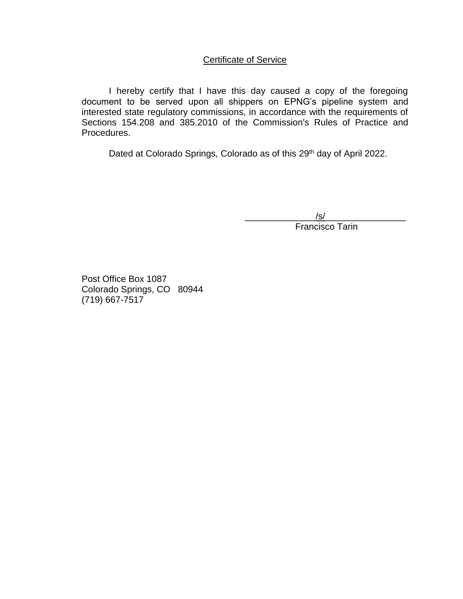# Certificate of Service

I hereby certify that I have this day caused a copy of the foregoing document to be served upon all shippers on EPNG's pipeline system and interested state regulatory commissions, in accordance with the requirements of Sections 154.208 and 385.2010 of the Commission's Rules of Practice and Procedures.

Dated at Colorado Springs, Colorado as of this 29<sup>th</sup> day of April 2022.

 $\sqrt{s}/$  . The contract of the contract of the contract of the contract of the contract of the contract of the contract of the contract of the contract of the contract of the contract of the contract of the contract of the Francisco Tarin

Post Office Box 1087 Colorado Springs, CO 80944 (719) 667-7517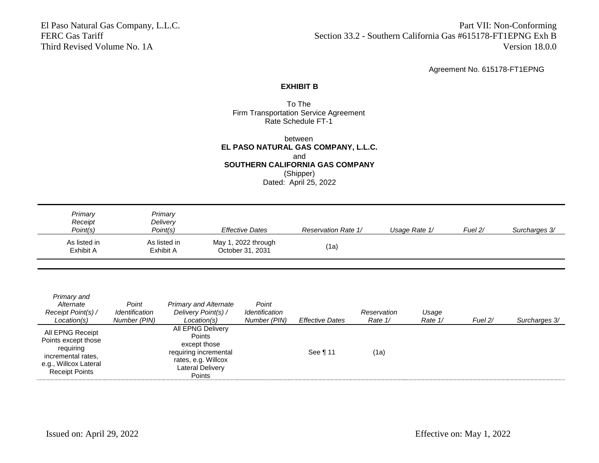El Paso Natural Gas Company, L.L.C. Part VII: Non-Conforming FERC Gas Tariff Section 33.2 - Southern California Gas #615178-FT1EPNG Exh B Third Revised Volume No. 1A Version 18.0.0

Agreement No. 615178-FT1EPNG

### **EXHIBIT B**

### To The Firm Transportation Service Agreement Rate Schedule FT-1

between **EL PASO NATURAL GAS COMPANY, L.L.C.** and **SOUTHERN CALIFORNIA GAS COMPANY** (Shipper) Dated: April 25, 2022

| Primary<br>Receipt<br>Point(s) | Primary<br>Delivery<br>Point(s) | <b>Effective Dates</b>                  | <b>Reservation Rate 1/</b> | Usage Rate 1/ | Fuel $2/$ | Surcharges 3/ |
|--------------------------------|---------------------------------|-----------------------------------------|----------------------------|---------------|-----------|---------------|
| As listed in<br>Exhibit A      | As listed in<br>Exhibit A       | May 1, 2022 through<br>October 31, 2031 | (1a)                       |               |           |               |

| Primary and<br>Alternate<br>Receipt Point(s) /<br>Location(s)                                                                | Point<br>Identification<br>Number (PIN) | <b>Primary and Alternate</b><br>Delivery Point(s) /<br>Location(s)                                                                      | Point<br>Identification<br>Number (PIN) | <b>Effective Dates</b> | Reservation<br>Rate 1/ | Usage<br>Rate 1/ | Fuel $2/$ | Surcharges 3/ |
|------------------------------------------------------------------------------------------------------------------------------|-----------------------------------------|-----------------------------------------------------------------------------------------------------------------------------------------|-----------------------------------------|------------------------|------------------------|------------------|-----------|---------------|
| All EPNG Receipt<br>Points except those<br>requiring<br>incremental rates,<br>e.g., Willcox Lateral<br><b>Receipt Points</b> |                                         | All EPNG Delivery<br><b>Points</b><br>except those<br>requiring incremental<br>rates, e.g. Willcox<br><b>Lateral Delivery</b><br>Points |                                         | See 111                | (1a)                   |                  |           |               |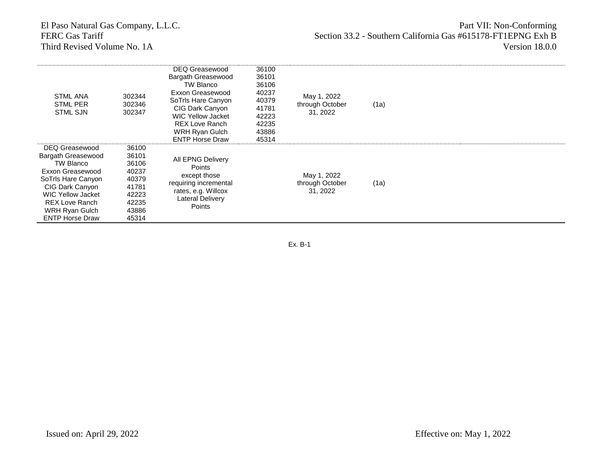# Third Revised Volume No. 1A

# El Paso Natural Gas Company, L.L.C. **Part VII: Non-Conforming** FERC Gas Tariff Section 33.2 - Southern California Gas #615178-FT1EPNG Exh B<br>Third Revised Volume No. 1A<br>Version 18.0.0

| <b>STML ANA</b><br><b>STML PER</b><br><b>STML SJN</b>                                                                                                                                                           | 302344<br>302346<br>302347                                                             | DEQ Greasewood<br>Bargath Greasewood<br>TW Blanco<br>Exxon Greasewood<br>SoTrls Hare Canyon<br>CIG Dark Canyon<br><b>WIC Yellow Jacket</b><br><b>REX Love Ranch</b><br>WRH Ryan Gulch<br><b>ENTP Horse Draw</b> | 36100<br>36101<br>36106<br>40237<br>40379<br>41781<br>42223<br>42235<br>43886<br>45314 | May 1, 2022<br>through October<br>31, 2022 | (1a) |  |
|-----------------------------------------------------------------------------------------------------------------------------------------------------------------------------------------------------------------|----------------------------------------------------------------------------------------|-----------------------------------------------------------------------------------------------------------------------------------------------------------------------------------------------------------------|----------------------------------------------------------------------------------------|--------------------------------------------|------|--|
| DEQ Greasewood<br>Bargath Greasewood<br>TW Blanco<br>Exxon Greasewood<br>SoTrls Hare Canyon<br>CIG Dark Canyon<br><b>WIC Yellow Jacket</b><br><b>REX Love Ranch</b><br>WRH Ryan Gulch<br><b>ENTP Horse Draw</b> | 36100<br>36101<br>36106<br>40237<br>40379<br>41781<br>42223<br>42235<br>43886<br>45314 | All EPNG Delivery<br><b>Points</b><br>except those<br>requiring incremental<br>rates, e.g. Willcox<br>Lateral Delivery<br>Points                                                                                |                                                                                        | May 1, 2022<br>through October<br>31, 2022 | (1a) |  |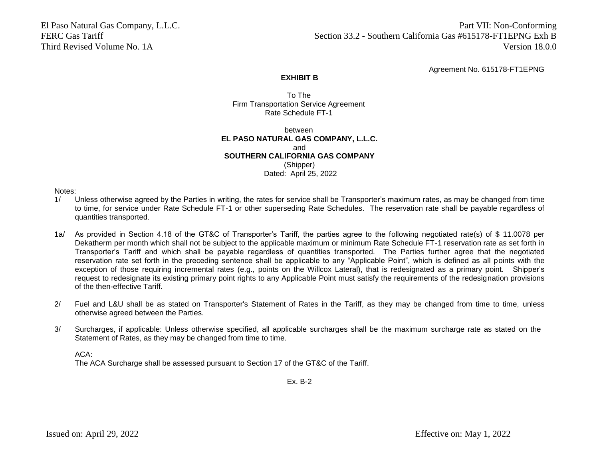El Paso Natural Gas Company, L.L.C. Part VII: Non-Conforming FERC Gas Tariff FERC Gas Tariff Section 33.2 - Southern California Gas #615178-FT1EPNG Exh B Third Revised Volume No. 1A Version 18.0.0

Agreement No. 615178-FT1EPNG

### **EXHIBIT B**

To The Firm Transportation Service Agreement Rate Schedule FT-1

between **EL PASO NATURAL GAS COMPANY, L.L.C.** and **SOUTHERN CALIFORNIA GAS COMPANY** (Shipper) Dated: April 25, 2022

Notes:

- 1/ Unless otherwise agreed by the Parties in writing, the rates for service shall be Transporter's maximum rates, as may be changed from time to time, for service under Rate Schedule FT-1 or other superseding Rate Schedules. The reservation rate shall be payable regardless of quantities transported.
- 1a/ As provided in Section 4.18 of the GT&C of Transporter's Tariff, the parties agree to the following negotiated rate(s) of \$ 11.0078 per Dekatherm per month which shall not be subject to the applicable maximum or minimum Rate Schedule FT-1 reservation rate as set forth in Transporter's Tariff and which shall be payable regardless of quantities transported. The Parties further agree that the negotiated reservation rate set forth in the preceding sentence shall be applicable to any "Applicable Point", which is defined as all points with the exception of those requiring incremental rates (e.g., points on the Willcox Lateral), that is redesignated as a primary point. Shipper's request to redesignate its existing primary point rights to any Applicable Point must satisfy the requirements of the redesignation provisions of the then-effective Tariff.
- 2/ Fuel and L&U shall be as stated on Transporter's Statement of Rates in the Tariff, as they may be changed from time to time, unless otherwise agreed between the Parties.
- 3/ Surcharges, if applicable: Unless otherwise specified, all applicable surcharges shall be the maximum surcharge rate as stated on the Statement of Rates, as they may be changed from time to time.

ACA:

The ACA Surcharge shall be assessed pursuant to Section 17 of the GT&C of the Tariff.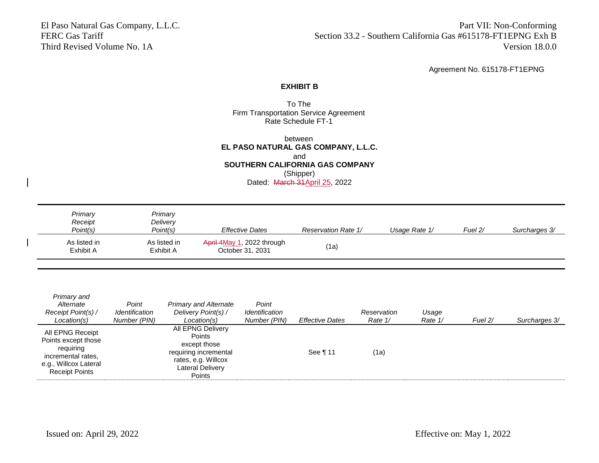El Paso Natural Gas Company, L.L.C. Part VII: Non-Conforming FERC Gas Tariff Section 33.2 - Southern California Gas #615178-FT1EPNG Exh B Third Revised Volume No. 1A Version 18.0.0

Agreement No. 615178-FT1EPNG

### **EXHIBIT B**

### To The Firm Transportation Service Agreement Rate Schedule FT-1

between **EL PASO NATURAL GAS COMPANY, L.L.C.** and **SOUTHERN CALIFORNIA GAS COMPANY** (Shipper) Dated: March 31 April 25, 2022

| Primary<br>Receipt<br>Point(s) | Primary<br>Delivery<br>Point(s) | <b>Effective Dates</b>                         | <b>Reservation Rate 1/</b> | Usage Rate 1/ | Fuel $2/$ | Surcharges 3/ |
|--------------------------------|---------------------------------|------------------------------------------------|----------------------------|---------------|-----------|---------------|
| As listed in<br>Exhibit A      | As listed in<br>Exhibit A       | April 4May 1, 2022 through<br>October 31, 2031 | (1a)                       |               |           |               |

| Primary and<br>Alternate<br>Receipt Point(s) /<br>Location(s)                                                                | Point<br>Identification<br>Number (PIN) | <b>Primary and Alternate</b><br>Delivery Point(s) /<br>Location(s)                                                                      | Point<br>Identification<br>Number (PIN) | <b>Effective Dates</b> | Reservation<br>Rate 1/ | Usage<br>Rate 1/ | Fuel $2/$ | Surcharges 3/ |
|------------------------------------------------------------------------------------------------------------------------------|-----------------------------------------|-----------------------------------------------------------------------------------------------------------------------------------------|-----------------------------------------|------------------------|------------------------|------------------|-----------|---------------|
| All EPNG Receipt<br>Points except those<br>requiring<br>incremental rates,<br>e.g., Willcox Lateral<br><b>Receipt Points</b> |                                         | All EPNG Delivery<br><b>Points</b><br>except those<br>requiring incremental<br>rates, e.g. Willcox<br><b>Lateral Delivery</b><br>Points |                                         | See 111                | (1a)                   |                  |           |               |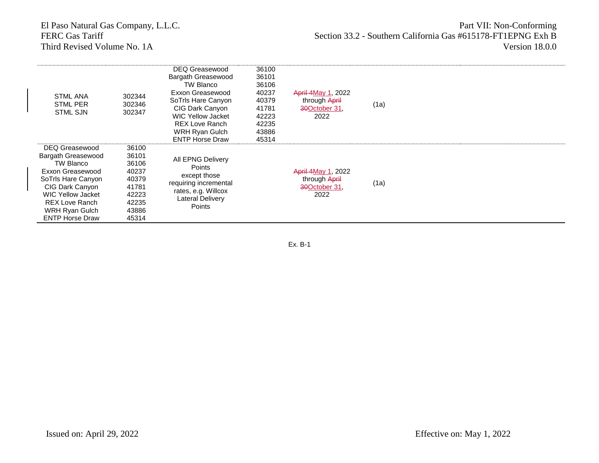Third Revised Volume No. 1A

| <b>STML ANA</b><br><b>STML PER</b><br><b>STML SJN</b>                                                                                                                                                    | 302344<br>302346<br>302347                                                             | <b>DEQ Greasewood</b><br>Bargath Greasewood<br>TW Blanco<br>Exxon Greasewood<br>SoTrls Hare Canyon<br>CIG Dark Canyon<br><b>WIC Yellow Jacket</b><br><b>REX Love Ranch</b><br>WRH Ryan Gulch<br><b>ENTP Horse Draw</b> | 36100<br>36101<br>36106<br>40237<br>40379<br>41781<br>42223<br>42235<br>43886<br>45314 | <b>April 4May 1, 2022</b><br>through April<br>30October 31.<br>2022 | (1a) |  |
|----------------------------------------------------------------------------------------------------------------------------------------------------------------------------------------------------------|----------------------------------------------------------------------------------------|------------------------------------------------------------------------------------------------------------------------------------------------------------------------------------------------------------------------|----------------------------------------------------------------------------------------|---------------------------------------------------------------------|------|--|
| DEQ Greasewood<br>Bargath Greasewood<br>TW Blanco<br>Exxon Greasewood<br>SoTrls Hare Canyon<br>CIG Dark Canyon<br>WIC Yellow Jacket<br><b>REX Love Ranch</b><br>WRH Ryan Gulch<br><b>ENTP Horse Draw</b> | 36100<br>36101<br>36106<br>40237<br>40379<br>41781<br>42223<br>42235<br>43886<br>45314 | All EPNG Delivery<br>Points<br>except those<br>requiring incremental<br>rates, e.g. Willcox<br><b>Lateral Delivery</b><br>Points                                                                                       |                                                                                        | <b>April 4May 1, 2022</b><br>through April<br>30October 31.<br>2022 | (1a) |  |